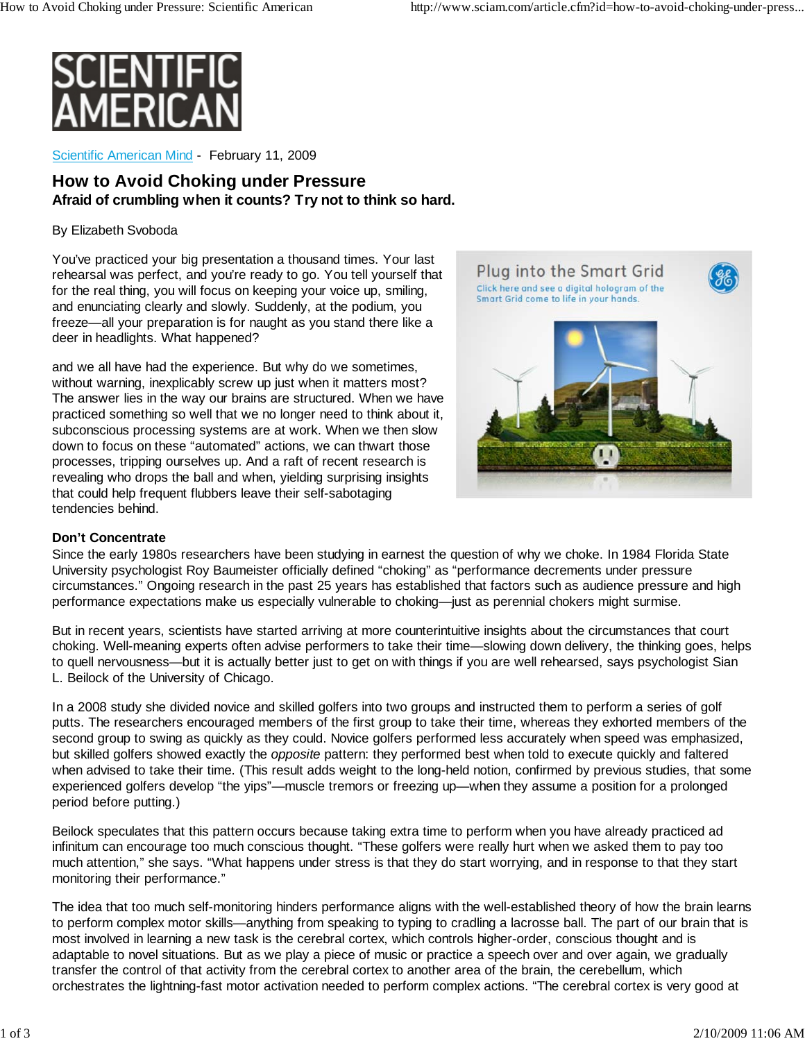

Scientific American Mind - February 11, 2009

# **How to Avoid Choking under Pressure Afraid of crumbling when it counts? Try not to think so hard.**

### By Elizabeth Svoboda

You've practiced your big presentation a thousand times. Your last rehearsal was perfect, and you're ready to go. You tell yourself that for the real thing, you will focus on keeping your voice up, smiling, and enunciating clearly and slowly. Suddenly, at the podium, you freeze—all your preparation is for naught as you stand there like a deer in headlights. What happened?

and we all have had the experience. But why do we sometimes, without warning, inexplicably screw up just when it matters most? The answer lies in the way our brains are structured. When we have practiced something so well that we no longer need to think about it, subconscious processing systems are at work. When we then slow down to focus on these "automated" actions, we can thwart those processes, tripping ourselves up. And a raft of recent research is revealing who drops the ball and when, yielding surprising insights that could help frequent flubbers leave their self-sabotaging tendencies behind.



#### **Don't Concentrate**

Since the early 1980s researchers have been studying in earnest the question of why we choke. In 1984 Florida State University psychologist Roy Baumeister officially defined "choking" as "performance decrements under pressure circumstances." Ongoing research in the past 25 years has established that factors such as audience pressure and high performance expectations make us especially vulnerable to choking—just as perennial chokers might surmise.

But in recent years, scientists have started arriving at more counterintuitive insights about the circumstances that court choking. Well-meaning experts often advise performers to take their time—slowing down delivery, the thinking goes, helps to quell nervousness—but it is actually better just to get on with things if you are well rehearsed, says psychologist Sian L. Beilock of the University of Chicago.

In a 2008 study she divided novice and skilled golfers into two groups and instructed them to perform a series of golf putts. The researchers encouraged members of the first group to take their time, whereas they exhorted members of the second group to swing as quickly as they could. Novice golfers performed less accurately when speed was emphasized, but skilled golfers showed exactly the *opposite* pattern: they performed best when told to execute quickly and faltered when advised to take their time. (This result adds weight to the long-held notion, confirmed by previous studies, that some experienced golfers develop "the yips"—muscle tremors or freezing up—when they assume a position for a prolonged period before putting.)

Beilock speculates that this pattern occurs because taking extra time to perform when you have already practiced ad infinitum can encourage too much conscious thought. "These golfers were really hurt when we asked them to pay too much attention," she says. "What happens under stress is that they do start worrying, and in response to that they start monitoring their performance."

The idea that too much self-monitoring hinders performance aligns with the well-established theory of how the brain learns to perform complex motor skills—anything from speaking to typing to cradling a lacrosse ball. The part of our brain that is most involved in learning a new task is the cerebral cortex, which controls higher-order, conscious thought and is adaptable to novel situations. But as we play a piece of music or practice a speech over and over again, we gradually transfer the control of that activity from the cerebral cortex to another area of the brain, the cerebellum, which orchestrates the lightning-fast motor activation needed to perform complex actions. "The cerebral cortex is very good at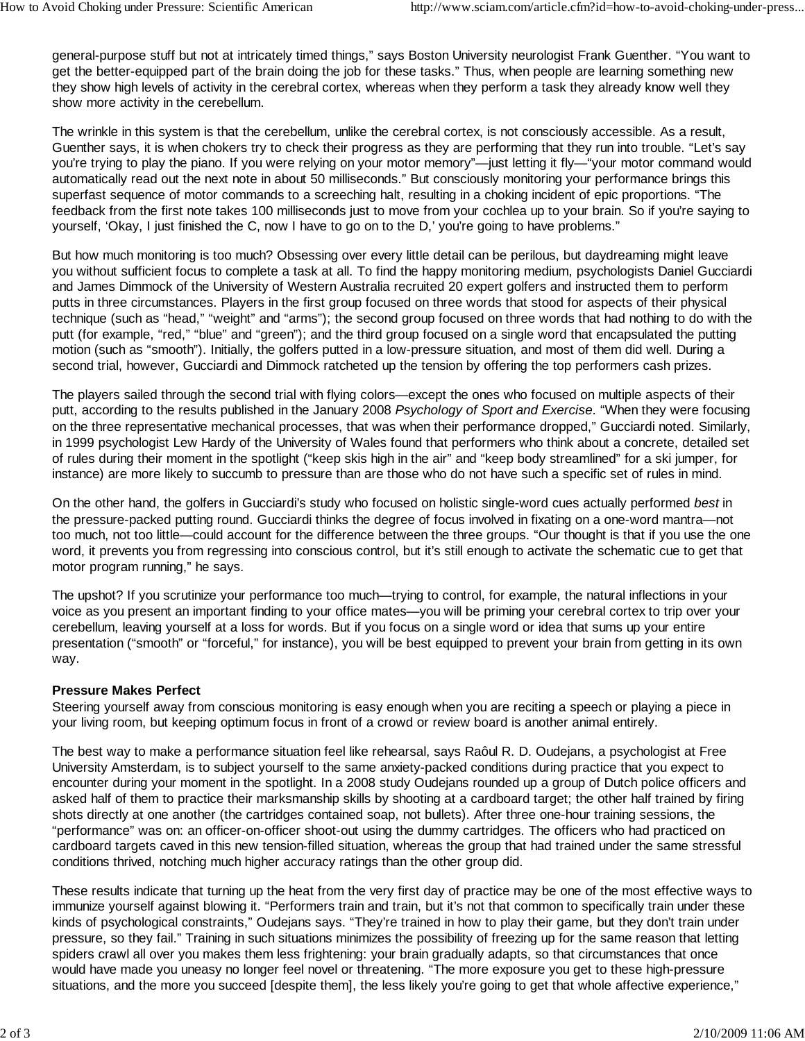general-purpose stuff but not at intricately timed things," says Boston University neurologist Frank Guenther. "You want to get the better-equipped part of the brain doing the job for these tasks." Thus, when people are learning something new they show high levels of activity in the cerebral cortex, whereas when they perform a task they already know well they show more activity in the cerebellum.

The wrinkle in this system is that the cerebellum, unlike the cerebral cortex, is not consciously accessible. As a result, Guenther says, it is when chokers try to check their progress as they are performing that they run into trouble. "Let's say you're trying to play the piano. If you were relying on your motor memory"—just letting it fly—"your motor command would automatically read out the next note in about 50 milliseconds." But consciously monitoring your performance brings this superfast sequence of motor commands to a screeching halt, resulting in a choking incident of epic proportions. "The feedback from the first note takes 100 milliseconds just to move from your cochlea up to your brain. So if you're saying to yourself, 'Okay, I just finished the C, now I have to go on to the D,' you're going to have problems."

But how much monitoring is too much? Obsessing over every little detail can be perilous, but daydreaming might leave you without sufficient focus to complete a task at all. To find the happy monitoring medium, psychologists Daniel Gucciardi and James Dimmock of the University of Western Australia recruited 20 expert golfers and instructed them to perform putts in three circumstances. Players in the first group focused on three words that stood for aspects of their physical technique (such as "head," "weight" and "arms"); the second group focused on three words that had nothing to do with the putt (for example, "red," "blue" and "green"); and the third group focused on a single word that encapsulated the putting motion (such as "smooth"). Initially, the golfers putted in a low-pressure situation, and most of them did well. During a second trial, however, Gucciardi and Dimmock ratcheted up the tension by offering the top performers cash prizes.

The players sailed through the second trial with flying colors—except the ones who focused on multiple aspects of their putt, according to the results published in the January 2008 *Psychology of Sport and Exercise*. "When they were focusing on the three representative mechanical processes, that was when their performance dropped," Gucciardi noted. Similarly, in 1999 psychologist Lew Hardy of the University of Wales found that performers who think about a concrete, detailed set of rules during their moment in the spotlight ("keep skis high in the air" and "keep body streamlined" for a ski jumper, for instance) are more likely to succumb to pressure than are those who do not have such a specific set of rules in mind.

On the other hand, the golfers in Gucciardi's study who focused on holistic single-word cues actually performed *best* in the pressure-packed putting round. Gucciardi thinks the degree of focus involved in fixating on a one-word mantra—not too much, not too little—could account for the difference between the three groups. "Our thought is that if you use the one word, it prevents you from regressing into conscious control, but it's still enough to activate the schematic cue to get that motor program running," he says.

The upshot? If you scrutinize your performance too much—trying to control, for example, the natural inflections in your voice as you present an important finding to your office mates—you will be priming your cerebral cortex to trip over your cerebellum, leaving yourself at a loss for words. But if you focus on a single word or idea that sums up your entire presentation ("smooth" or "forceful," for instance), you will be best equipped to prevent your brain from getting in its own way.

## **Pressure Makes Perfect**

Steering yourself away from conscious monitoring is easy enough when you are reciting a speech or playing a piece in your living room, but keeping optimum focus in front of a crowd or review board is another animal entirely.

The best way to make a performance situation feel like rehearsal, says Raôul R. D. Oudejans, a psychologist at Free University Amsterdam, is to subject yourself to the same anxiety-packed conditions during practice that you expect to encounter during your moment in the spotlight. In a 2008 study Oudejans rounded up a group of Dutch police officers and asked half of them to practice their marksmanship skills by shooting at a cardboard target; the other half trained by firing shots directly at one another (the cartridges contained soap, not bullets). After three one-hour training sessions, the "performance" was on: an officer-on-officer shoot-out using the dummy cartridges. The officers who had practiced on cardboard targets caved in this new tension-filled situation, whereas the group that had trained under the same stressful conditions thrived, notching much higher accuracy ratings than the other group did.

These results indicate that turning up the heat from the very first day of practice may be one of the most effective ways to immunize yourself against blowing it. "Performers train and train, but it's not that common to specifically train under these kinds of psychological constraints," Oudejans says. "They're trained in how to play their game, but they don't train under pressure, so they fail." Training in such situations minimizes the possibility of freezing up for the same reason that letting spiders crawl all over you makes them less frightening: your brain gradually adapts, so that circumstances that once would have made you uneasy no longer feel novel or threatening. "The more exposure you get to these high-pressure situations, and the more you succeed [despite them], the less likely you're going to get that whole affective experience,"